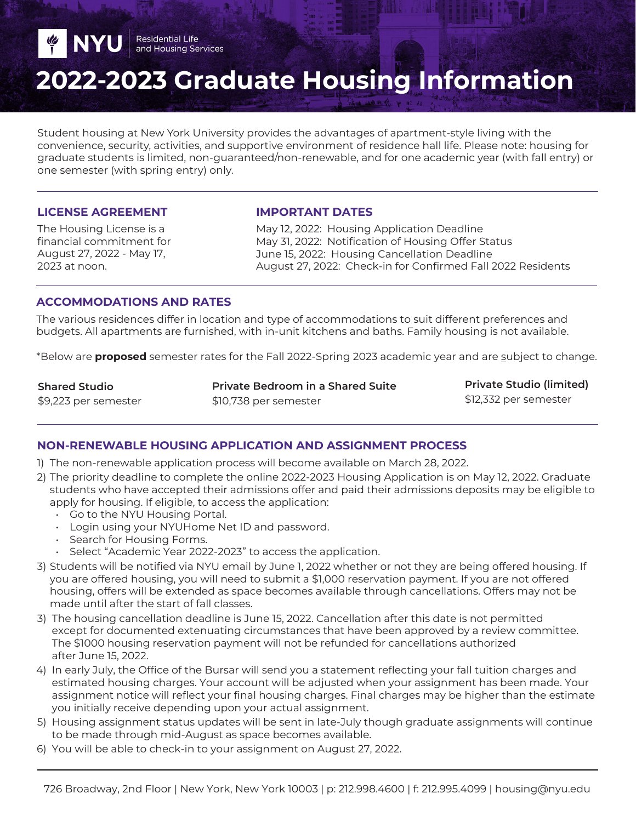# **2022-2023 Graduate Housing Information**

Student housing at New York University provides the advantages of apartment-style living with the convenience, security, activities, and supportive environment of residence hall life. Please note: housing for graduate students is limited, non-guaranteed/non-renewable, and for one academic year (with fall entry) or one semester (with spring entry) only.

#### **LICENSE AGREEMENT**

**Y** NYU

The Housing License is a financial commitment for August 27, 2022 - May 17, 2023 at noon.

#### **IMPORTANT DATES**

May 12, 2022: Housing Application Deadline May 31, 2022: Notification of Housing Offer Status June 15, 2022: Housing Cancellation Deadline August 27, 2022: Check-in for Confirmed Fall 2022 Residents

## **ACCOMMODATIONS AND RATES**

Residential Life<br>and Housing Services

The various residences differ in location and type of accommodations to suit different preferences and budgets. All apartments are furnished, with in-unit kitchens and baths. Family housing is not available.

\*Below are **proposed** semester rates for the Fall 2022-Spring 2023 academic year and are subject to change.

**Shared Studio** \$9,223 per semester **Private Bedroom in a Shared Suite**  \$10,738 per semester

**Private Studio (limited)**  \$12,332 per semester

## **NON-RENEWABLE HOUSING APPLICATION AND ASSIGNMENT PROCESS**

- 1) The non-renewable application process will become available on March 28, 2022.
- 2) The priority deadline to complete the online 2022-2023 Housing Application is on May 12, 2022. Graduate students who have accepted their admissions offer and paid their admissions deposits may be eligible to apply for housing. If eligible, to access the application:
	- Go to the NYU Housing Portal.
	- Login using your NYUHome Net ID and password.
	- Search for Housing Forms.
	- Select "Academic Year 2022-2023" to access the application.
- 3) Students will be notified via NYU email by June 1, 2022 whether or not they are being offered housing. If you are offered housing, you will need to submit a \$1,000 reservation payment. If you are not offered housing, offers will be extended as space becomes available through cancellations. Offers may not be made until after the start of fall classes.
- 3) The housing cancellation deadline is June 15, 2022. Cancellation after this date is not permitted except for documented extenuating circumstances that have been approved by a review committee. The \$1000 housing reservation payment will not be refunded for cancellations authorized after June 15, 2022.
- 4) In early July, the Office of the Bursar will send you a statement reflecting your fall tuition charges and estimated housing charges. Your account will be adjusted when your assignment has been made. Your assignment notice will reflect your final housing charges. Final charges may be higher than the estimate you initially receive depending upon your actual assignment.
- 5) Housing assignment status updates will be sent in late-July though graduate assignments will continue to be made through mid-August as space becomes available.
- 6) You will be able to check-in to your assignment on August 27, 2022.